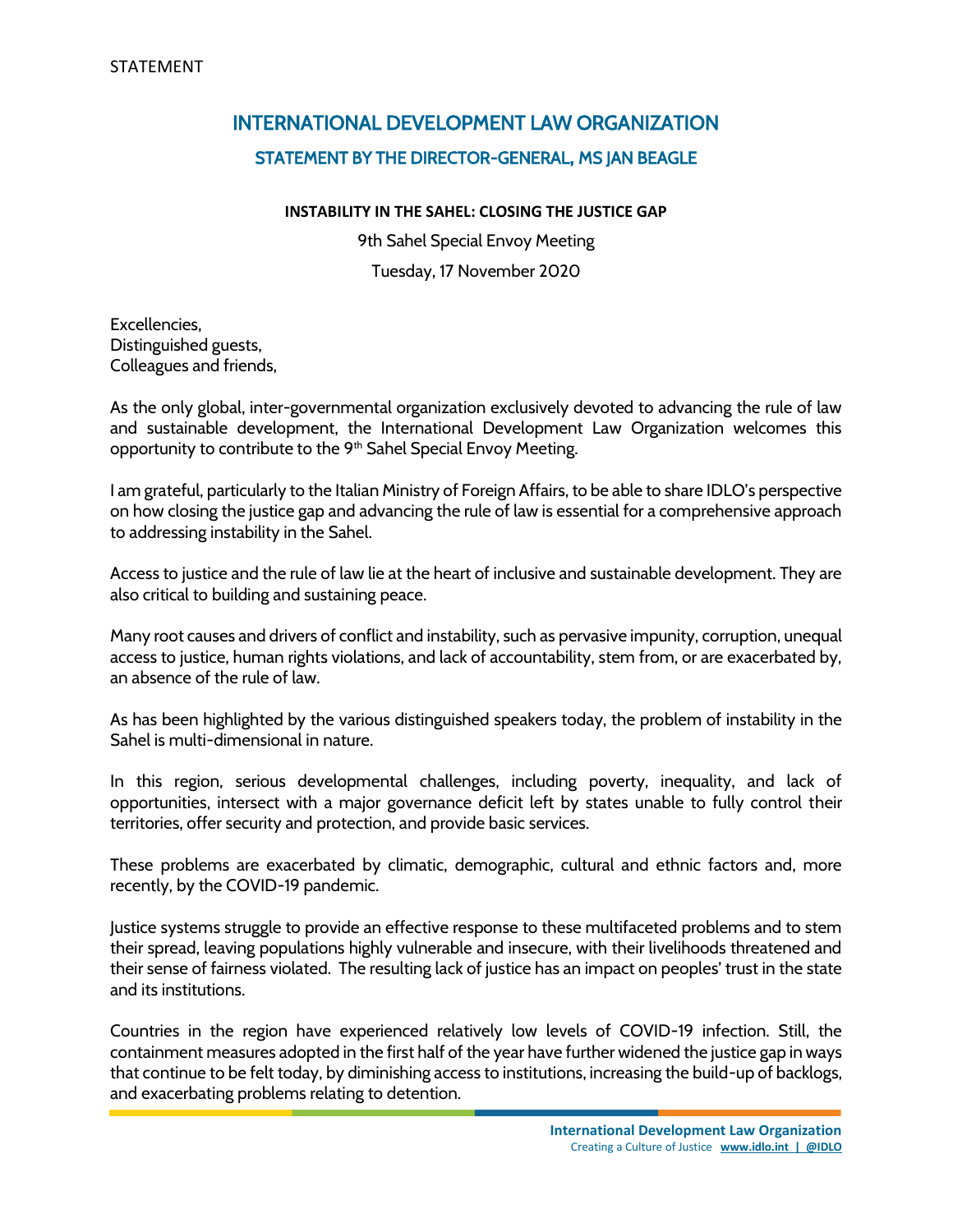## INTERNATIONAL DEVELOPMENT LAW ORGANIZATION STATEMENT BY THE DIRECTOR-GENERAL, MS JAN BEAGLE

## **INSTABILITY IN THE SAHEL: CLOSING THE JUSTICE GAP**

9th Sahel Special Envoy Meeting Tuesday, 17 November 2020

Excellencies, Distinguished guests, Colleagues and friends,

As the only global, inter-governmental organization exclusively devoted to advancing the rule of law and sustainable development, the International Development Law Organization welcomes this opportunity to contribute to the 9<sup>th</sup> Sahel Special Envoy Meeting.

I am grateful, particularly to the Italian Ministry of Foreign Affairs, to be able to share IDLO's perspective on how closing the justice gap and advancing the rule of law is essential for a comprehensive approach to addressing instability in the Sahel.

Access to justice and the rule of law lie at the heart of inclusive and sustainable development. They are also critical to building and sustaining peace.

Many root causes and drivers of conflict and instability, such as pervasive impunity, corruption, unequal access to justice, human rights violations, and lack of accountability, stem from, or are exacerbated by, an absence of the rule of law.

As has been highlighted by the various distinguished speakers today, the problem of instability in the Sahel is multi-dimensional in nature.

In this region, serious developmental challenges, including poverty, inequality, and lack of opportunities, intersect with a major governance deficit left by states unable to fully control their territories, offer security and protection, and provide basic services.

These problems are exacerbated by climatic, demographic, cultural and ethnic factors and, more recently, by the COVID-19 pandemic.

Justice systems struggle to provide an effective response to these multifaceted problems and to stem their spread, leaving populations highly vulnerable and insecure, with their livelihoods threatened and their sense of fairness violated. The resulting lack of justice has an impact on peoples' trust in the state and its institutions.

Countries in the region have experienced relatively low levels of COVID-19 infection. Still, the containment measures adopted in the first half of the year have further widened the justice gap in ways that continue to be felt today, by diminishing access to institutions, increasing the build-up of backlogs, and exacerbating problems relating to detention.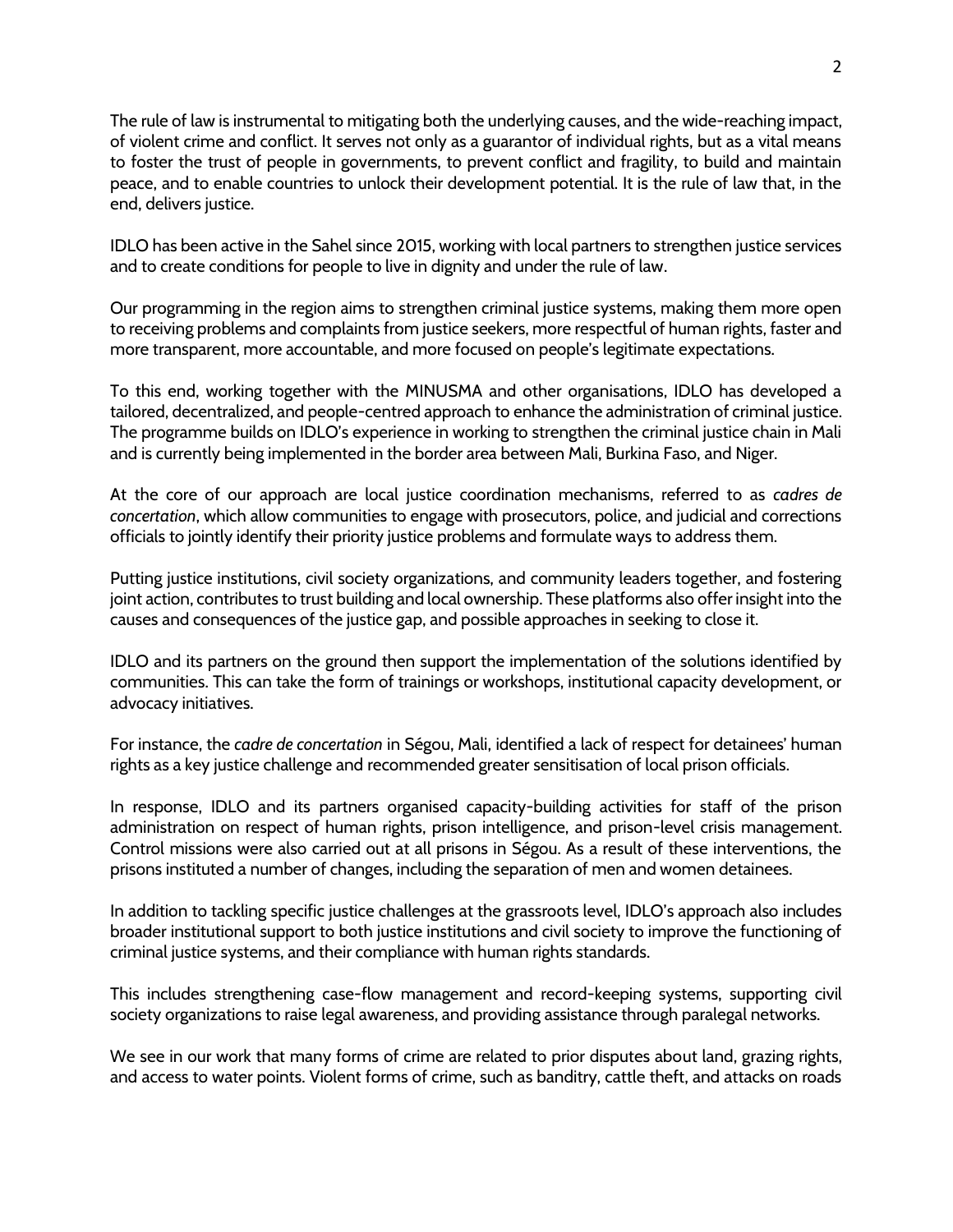The rule of law is instrumental to mitigating both the underlying causes, and the wide-reaching impact, of violent crime and conflict. It serves not only as a guarantor of individual rights, but as a vital means to foster the trust of people in governments, to prevent conflict and fragility, to build and maintain peace, and to enable countries to unlock their development potential. It is the rule of law that, in the end, delivers justice.

IDLO has been active in the Sahel since 2015, working with local partners to strengthen justice services and to create conditions for people to live in dignity and under the rule of law.

Our programming in the region aims to strengthen criminal justice systems, making them more open to receiving problems and complaints from justice seekers, more respectful of human rights, faster and more transparent, more accountable, and more focused on people's legitimate expectations.

To this end, working together with the MINUSMA and other organisations, IDLO has developed a tailored, decentralized, and people-centred approach to enhance the administration of criminal justice. The programme builds on IDLO's experience in working to strengthen the criminal justice chain in Mali and is currently being implemented in the border area between Mali, Burkina Faso, and Niger.

At the core of our approach are local justice coordination mechanisms, referred to as *cadres de concertation*, which allow communities to engage with prosecutors, police, and judicial and corrections officials to jointly identify their priority justice problems and formulate ways to address them.

Putting justice institutions, civil society organizations, and community leaders together, and fostering joint action, contributes to trust building and local ownership. These platforms also offer insight into the causes and consequences of the justice gap, and possible approaches in seeking to close it.

IDLO and its partners on the ground then support the implementation of the solutions identified by communities. This can take the form of trainings or workshops, institutional capacity development, or advocacy initiatives.

For instance, the *cadre de concertation* in Ségou, Mali, identified a lack of respect for detainees' human rights as a key justice challenge and recommended greater sensitisation of local prison officials.

In response, IDLO and its partners organised capacity-building activities for staff of the prison administration on respect of human rights, prison intelligence, and prison-level crisis management. Control missions were also carried out at all prisons in Ségou. As a result of these interventions, the prisons instituted a number of changes, including the separation of men and women detainees.

In addition to tackling specific justice challenges at the grassroots level, IDLO's approach also includes broader institutional support to both justice institutions and civil society to improve the functioning of criminal justice systems, and their compliance with human rights standards.

This includes strengthening case-flow management and record-keeping systems, supporting civil society organizations to raise legal awareness, and providing assistance through paralegal networks.

We see in our work that many forms of crime are related to prior disputes about land, grazing rights, and access to water points. Violent forms of crime, such as banditry, cattle theft, and attacks on roads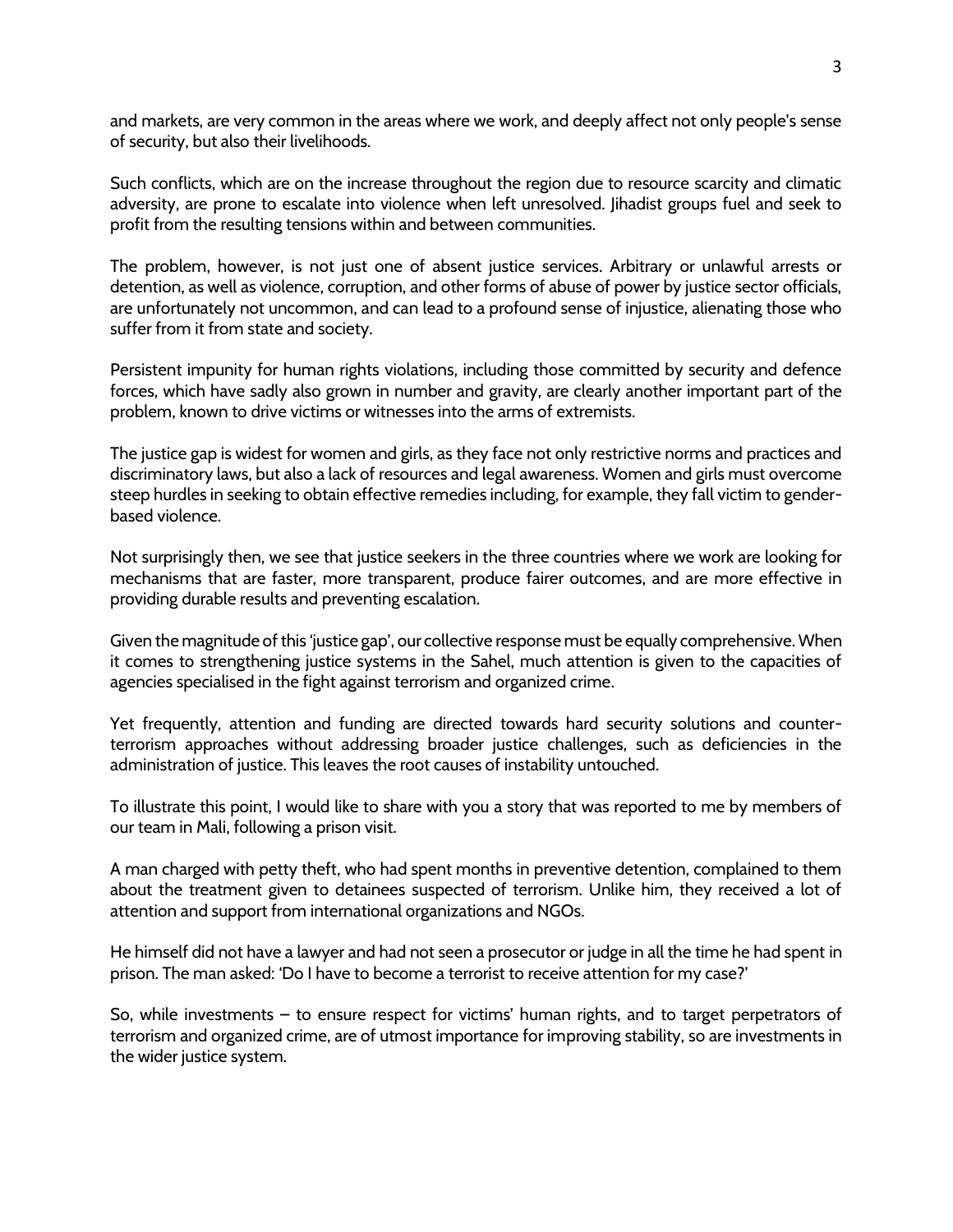and markets, are very common in the areas where we work, and deeply affect not only people's sense of security, but also their livelihoods.

Such conflicts, which are on the increase throughout the region due to resource scarcity and climatic adversity, are prone to escalate into violence when left unresolved. Jihadist groups fuel and seek to profit from the resulting tensions within and between communities.

The problem, however, is not just one of absent justice services. Arbitrary or unlawful arrests or detention, as well as violence, corruption, and other forms of abuse of power by justice sector officials, are unfortunately not uncommon, and can lead to a profound sense of injustice, alienating those who suffer from it from state and society.

Persistent impunity for human rights violations, including those committed by security and defence forces, which have sadly also grown in number and gravity, are clearly another important part of the problem, known to drive victims or witnesses into the arms of extremists.

The justice gap is widest for women and girls, as they face not only restrictive norms and practices and discriminatory laws, but also a lack of resources and legal awareness. Women and girls must overcome steep hurdles in seeking to obtain effective remedies including, for example, they fall victim to genderbased violence.

Not surprisingly then, we see that justice seekers in the three countries where we work are looking for mechanisms that are faster, more transparent, produce fairer outcomes, and are more effective in providing durable results and preventing escalation.

Given the magnitude of this 'justice gap', our collective response must be equally comprehensive. When it comes to strengthening justice systems in the Sahel, much attention is given to the capacities of agencies specialised in the fight against terrorism and organized crime.

Yet frequently, attention and funding are directed towards hard security solutions and counterterrorism approaches without addressing broader justice challenges, such as deficiencies in the administration of justice. This leaves the root causes of instability untouched.

To illustrate this point, I would like to share with you a story that was reported to me by members of our team in Mali, following a prison visit.

A man charged with petty theft, who had spent months in preventive detention, complained to them about the treatment given to detainees suspected of terrorism. Unlike him, they received a lot of attention and support from international organizations and NGOs.

He himself did not have a lawyer and had not seen a prosecutor or judge in all the time he had spent in prison. The man asked: 'Do I have to become a terrorist to receive attention for my case?'

So, while investments – to ensure respect for victims' human rights, and to target perpetrators of terrorism and organized crime, are of utmost importance for improving stability, so are investments in the wider justice system.